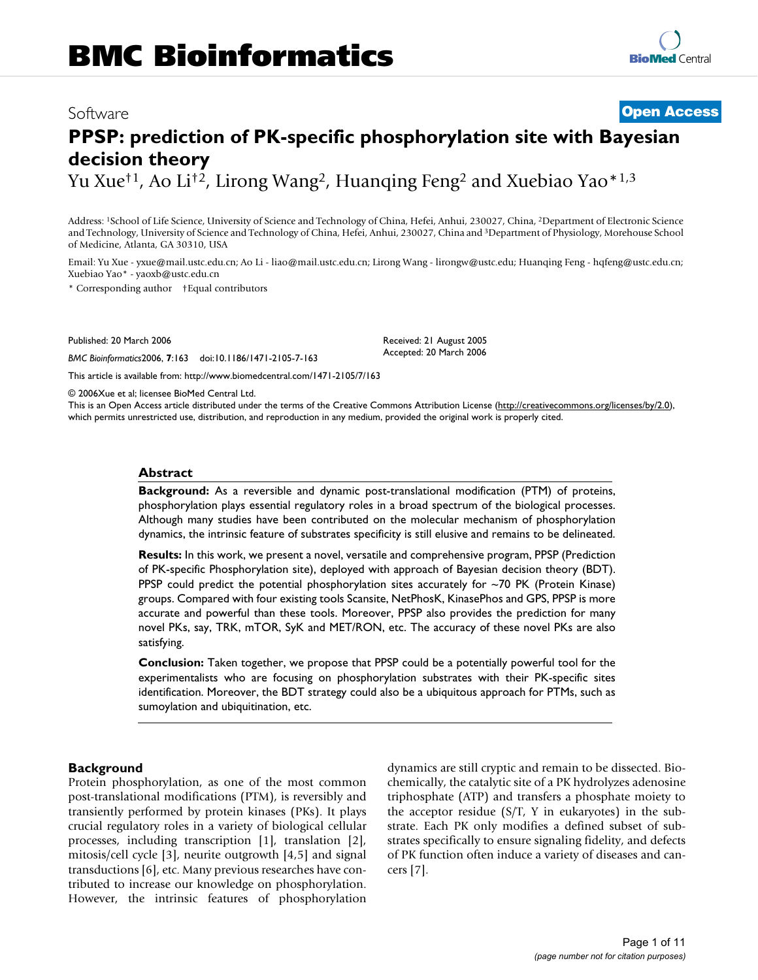## Software **[Open Access](http://www.biomedcentral.com/info/about/charter/)**

# **PPSP: prediction of PK-specific phosphorylation site with Bayesian decision theory**

Yu Xue<sup>†1</sup>, Ao Li<sup>†2</sup>, Lirong Wang<sup>2</sup>, Huanqing Feng<sup>2</sup> and Xuebiao Yao<sup>\*1,3</sup>

Address: 1School of Life Science, University of Science and Technology of China, Hefei, Anhui, 230027, China, 2Department of Electronic Science and Technology, University of Science and Technology of China, Hefei, Anhui, 230027, China and 3Department of Physiology, Morehouse School of Medicine, Atlanta, GA 30310, USA

Email: Yu Xue - yxue@mail.ustc.edu.cn; Ao Li - liao@mail.ustc.edu.cn; Lirong Wang - lirongw@ustc.edu; Huanqing Feng - hqfeng@ustc.edu.cn; Xuebiao Yao\* - yaoxb@ustc.edu.cn

> Received: 21 August 2005 Accepted: 20 March 2006

\* Corresponding author †Equal contributors

Published: 20 March 2006

*BMC Bioinformatics*2006, **7**:163 doi:10.1186/1471-2105-7-163

[This article is available from: http://www.biomedcentral.com/1471-2105/7/163](http://www.biomedcentral.com/1471-2105/7/163)

© 2006Xue et al; licensee BioMed Central Ltd.

This is an Open Access article distributed under the terms of the Creative Commons Attribution License [\(http://creativecommons.org/licenses/by/2.0\)](http://creativecommons.org/licenses/by/2.0), which permits unrestricted use, distribution, and reproduction in any medium, provided the original work is properly cited.

#### **Abstract**

**Background:** As a reversible and dynamic post-translational modification (PTM) of proteins, phosphorylation plays essential regulatory roles in a broad spectrum of the biological processes. Although many studies have been contributed on the molecular mechanism of phosphorylation dynamics, the intrinsic feature of substrates specificity is still elusive and remains to be delineated.

**Results:** In this work, we present a novel, versatile and comprehensive program, PPSP (Prediction of PK-specific Phosphorylation site), deployed with approach of Bayesian decision theory (BDT). PPSP could predict the potential phosphorylation sites accurately for  $\sim$ 70 PK (Protein Kinase) groups. Compared with four existing tools Scansite, NetPhosK, KinasePhos and GPS, PPSP is more accurate and powerful than these tools. Moreover, PPSP also provides the prediction for many novel PKs, say, TRK, mTOR, SyK and MET/RON, etc. The accuracy of these novel PKs are also satisfying.

**Conclusion:** Taken together, we propose that PPSP could be a potentially powerful tool for the experimentalists who are focusing on phosphorylation substrates with their PK-specific sites identification. Moreover, the BDT strategy could also be a ubiquitous approach for PTMs, such as sumoylation and ubiquitination, etc.

#### **Background**

Protein phosphorylation, as one of the most common post-translational modifications (PTM), is reversibly and transiently performed by protein kinases (PKs). It plays crucial regulatory roles in a variety of biological cellular processes, including transcription [1], translation [2], mitosis/cell cycle [3], neurite outgrowth [4,5] and signal transductions [6], etc. Many previous researches have contributed to increase our knowledge on phosphorylation. However, the intrinsic features of phosphorylation dynamics are still cryptic and remain to be dissected. Biochemically, the catalytic site of a PK hydrolyzes adenosine triphosphate (ATP) and transfers a phosphate moiety to the acceptor residue (S/T, Y in eukaryotes) in the substrate. Each PK only modifies a defined subset of substrates specifically to ensure signaling fidelity, and defects of PK function often induce a variety of diseases and cancers [7].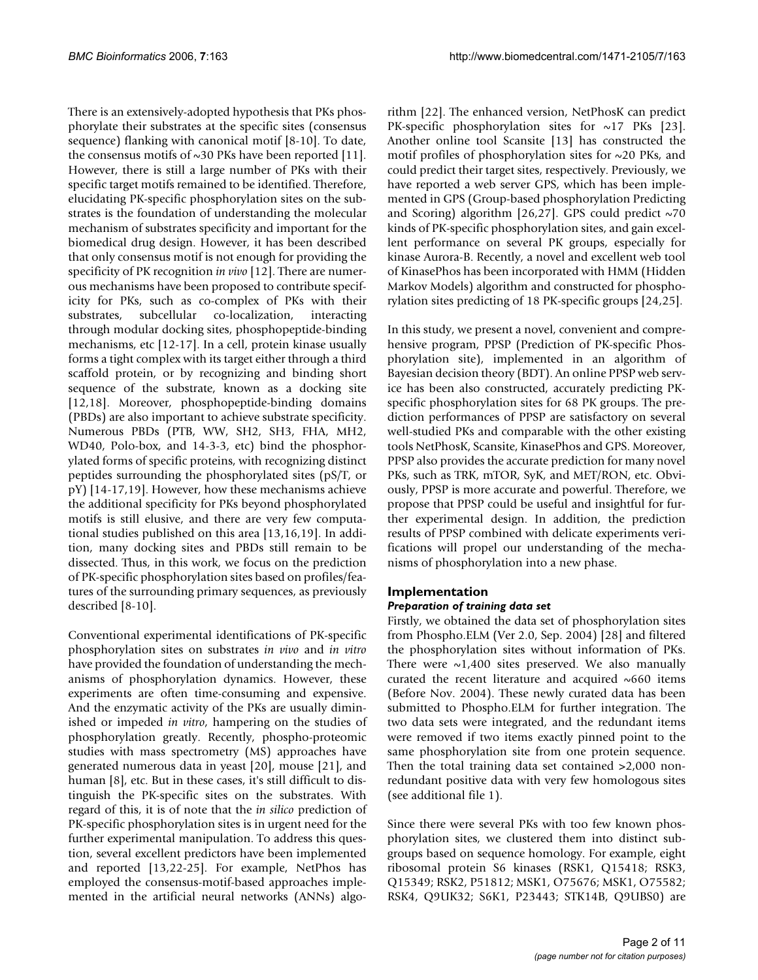There is an extensively-adopted hypothesis that PKs phosphorylate their substrates at the specific sites (consensus sequence) flanking with canonical motif [8-10]. To date, the consensus motifs of  $\sim$ 30 PKs have been reported [11]. However, there is still a large number of PKs with their specific target motifs remained to be identified. Therefore, elucidating PK-specific phosphorylation sites on the substrates is the foundation of understanding the molecular mechanism of substrates specificity and important for the biomedical drug design. However, it has been described that only consensus motif is not enough for providing the specificity of PK recognition *in vivo* [12]. There are numerous mechanisms have been proposed to contribute specificity for PKs, such as co-complex of PKs with their substrates, subcellular co-localization, interacting through modular docking sites, phosphopeptide-binding mechanisms, etc [12-17]. In a cell, protein kinase usually forms a tight complex with its target either through a third scaffold protein, or by recognizing and binding short sequence of the substrate, known as a docking site [12,18]. Moreover, phosphopeptide-binding domains (PBDs) are also important to achieve substrate specificity. Numerous PBDs (PTB, WW, SH2, SH3, FHA, MH2, WD40, Polo-box, and 14-3-3, etc) bind the phosphorylated forms of specific proteins, with recognizing distinct peptides surrounding the phosphorylated sites (pS/T, or pY) [14-17,19]. However, how these mechanisms achieve the additional specificity for PKs beyond phosphorylated motifs is still elusive, and there are very few computational studies published on this area [13,16,19]. In addition, many docking sites and PBDs still remain to be dissected. Thus, in this work, we focus on the prediction of PK-specific phosphorylation sites based on profiles/features of the surrounding primary sequences, as previously described [8-10].

Conventional experimental identifications of PK-specific phosphorylation sites on substrates *in vivo* and *in vitro* have provided the foundation of understanding the mechanisms of phosphorylation dynamics. However, these experiments are often time-consuming and expensive. And the enzymatic activity of the PKs are usually diminished or impeded *in vitro*, hampering on the studies of phosphorylation greatly. Recently, phospho-proteomic studies with mass spectrometry (MS) approaches have generated numerous data in yeast [20], mouse [21], and human [8], etc. But in these cases, it's still difficult to distinguish the PK-specific sites on the substrates. With regard of this, it is of note that the *in silico* prediction of PK-specific phosphorylation sites is in urgent need for the further experimental manipulation. To address this question, several excellent predictors have been implemented and reported [13,22-25]. For example, NetPhos has employed the consensus-motif-based approaches implemented in the artificial neural networks (ANNs) algorithm [22]. The enhanced version, NetPhosK can predict PK-specific phosphorylation sites for  $\sim$ 17 PKs [23]. Another online tool Scansite [13] has constructed the motif profiles of phosphorylation sites for  $\sim$ 20 PKs, and could predict their target sites, respectively. Previously, we have reported a web server GPS, which has been implemented in GPS (Group-based phosphorylation Predicting and Scoring) algorithm [26,27]. GPS could predict  $\sim$ 70 kinds of PK-specific phosphorylation sites, and gain excellent performance on several PK groups, especially for kinase Aurora-B. Recently, a novel and excellent web tool of KinasePhos has been incorporated with HMM (Hidden Markov Models) algorithm and constructed for phosphorylation sites predicting of 18 PK-specific groups [24,25].

In this study, we present a novel, convenient and comprehensive program, PPSP (Prediction of PK-specific Phosphorylation site), implemented in an algorithm of Bayesian decision theory (BDT). An online PPSP web service has been also constructed, accurately predicting PKspecific phosphorylation sites for 68 PK groups. The prediction performances of PPSP are satisfactory on several well-studied PKs and comparable with the other existing tools NetPhosK, Scansite, KinasePhos and GPS. Moreover, PPSP also provides the accurate prediction for many novel PKs, such as TRK, mTOR, SyK, and MET/RON, etc. Obviously, PPSP is more accurate and powerful. Therefore, we propose that PPSP could be useful and insightful for further experimental design. In addition, the prediction results of PPSP combined with delicate experiments verifications will propel our understanding of the mechanisms of phosphorylation into a new phase.

## **Implementation**

#### *Preparation of training data set*

Firstly, we obtained the data set of phosphorylation sites from Phospho.ELM (Ver 2.0, Sep. 2004) [28] and filtered the phosphorylation sites without information of PKs. There were  $\sim$ 1,400 sites preserved. We also manually curated the recent literature and acquired  $~660$  items (Before Nov. 2004). These newly curated data has been submitted to Phospho.ELM for further integration. The two data sets were integrated, and the redundant items were removed if two items exactly pinned point to the same phosphorylation site from one protein sequence. Then the total training data set contained >2,000 nonredundant positive data with very few homologous sites (see additional file 1).

Since there were several PKs with too few known phosphorylation sites, we clustered them into distinct subgroups based on sequence homology. For example, eight ribosomal protein S6 kinases (RSK1, Q15418; RSK3, Q15349; RSK2, P51812; MSK1, O75676; MSK1, O75582; RSK4, Q9UK32; S6K1, P23443; STK14B, Q9UBS0) are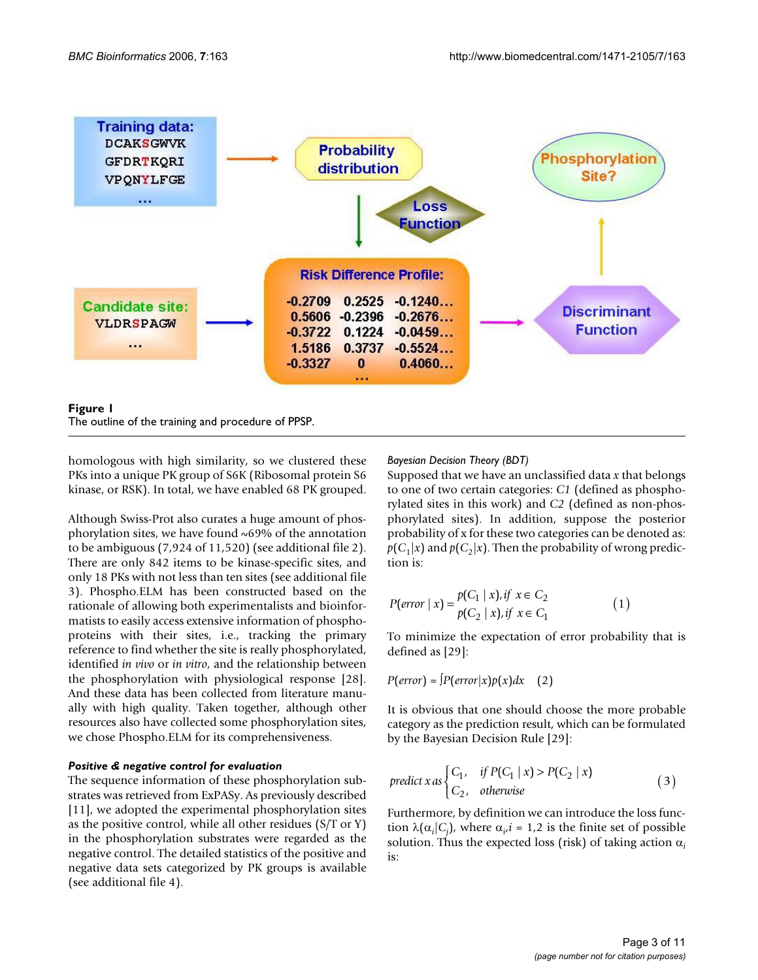

The outline of the training and procedure of PPSP.

homologous with high similarity, so we clustered these PKs into a unique PK group of S6K (Ribosomal protein S6 kinase, or RSK). In total, we have enabled 68 PK grouped.

Although Swiss-Prot also curates a huge amount of phosphorylation sites, we have found ~69% of the annotation to be ambiguous (7,924 of 11,520) (see additional file 2). There are only 842 items to be kinase-specific sites, and only 18 PKs with not less than ten sites (see additional file 3). Phospho.ELM has been constructed based on the rationale of allowing both experimentalists and bioinformatists to easily access extensive information of phosphoproteins with their sites, i.e., tracking the primary reference to find whether the site is really phosphorylated, identified *in vivo* or *in vitro*, and the relationship between the phosphorylation with physiological response [28]. And these data has been collected from literature manually with high quality. Taken together, although other resources also have collected some phosphorylation sites, we chose Phospho.ELM for its comprehensiveness.

#### *Positive & negative control for evaluation*

The sequence information of these phosphorylation substrates was retrieved from ExPASy. As previously described [11], we adopted the experimental phosphorylation sites as the positive control, while all other residues (S/T or Y) in the phosphorylation substrates were regarded as the negative control. The detailed statistics of the positive and negative data sets categorized by PK groups is available (see additional file 4).

## *Bayesian Decision Theory (BDT)*

Supposed that we have an unclassified data *x* that belongs to one of two certain categories: *C1* (defined as phosphorylated sites in this work) and *C2* (defined as non-phosphorylated sites). In addition, suppose the posterior probability of x for these two categories can be denoted as:  $p(C_1|x)$  and  $p(C_2|x)$ . Then the probability of wrong prediction is:

$$
P(\text{error} \mid x) = \frac{p(C_1 \mid x), \text{if } x \in C_2}{p(C_2 \mid x), \text{if } x \in C_1} \tag{1}
$$

To minimize the expectation of error probability that is defined as [29]:

$$
P(error) = \frac{\int P(error|x)p(x)dx}{2}
$$

It is obvious that one should choose the more probable category as the prediction result, which can be formulated by the Bayesian Decision Rule [29]:

$$
predict x as \begin{cases} C_1, & if P(C_1 | x) > P(C_2 | x) \\ C_2, & otherwise \end{cases}
$$
 (3)

Furthermore, by definition we can introduce the loss function  $\lambda(\alpha_i|C_j)$ , where  $\alpha_i$ , *i* = 1,2 is the finite set of possible solution. Thus the expected loss (risk) of taking action  $\alpha_i$ is: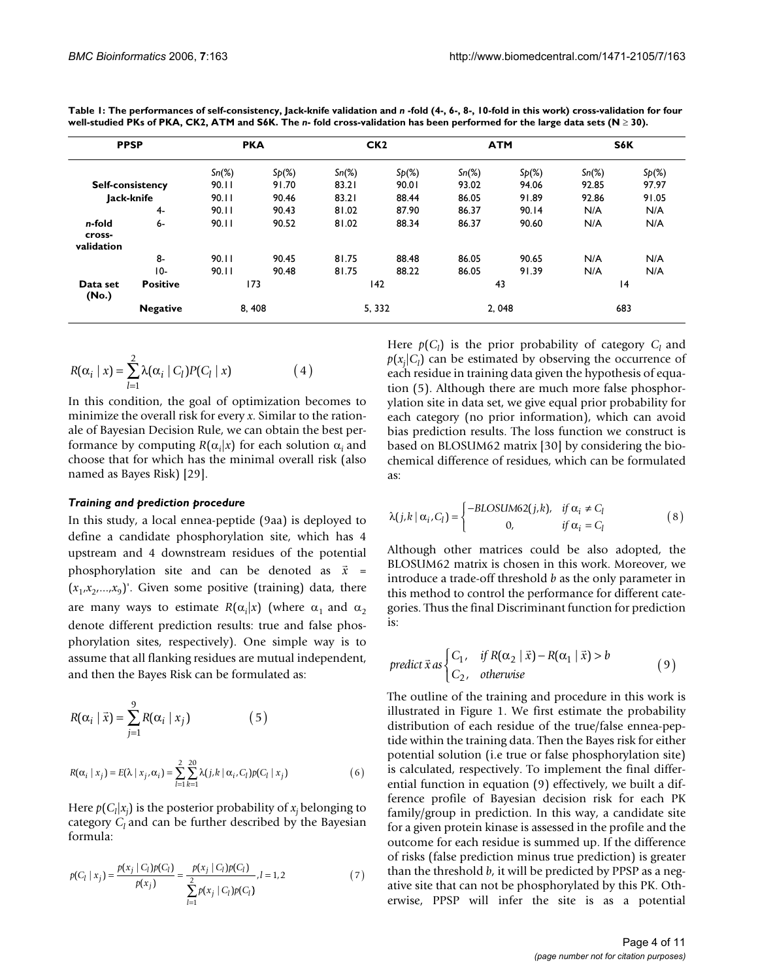| <b>PPSP</b>                    |                         | <b>PKA</b> |          |          | CK <sub>2</sub> |          | <b>ATM</b> |          | S6K      |  |
|--------------------------------|-------------------------|------------|----------|----------|-----------------|----------|------------|----------|----------|--|
|                                |                         | $Sn(\%)$   | $Sp(\%)$ | $Sn(\%)$ | $Sp(\%)$        | $Sn(\%)$ | $Sp(\%)$   | $Sn(\%)$ | $Sp(\%)$ |  |
|                                | <b>Self-consistency</b> | 90.11      | 91.70    | 83.21    | 90.01           | 93.02    | 94.06      | 92.85    | 97.97    |  |
|                                | Jack-knife              | 90.11      | 90.46    | 83.21    | 88.44           | 86.05    | 91.89      | 92.86    | 91.05    |  |
|                                | 4-                      | 90.11      | 90.43    | 81.02    | 87.90           | 86.37    | 90.14      | N/A      | N/A      |  |
| n-fold<br>cross-<br>validation | 6-                      | 90.11      | 90.52    | 81.02    | 88.34           | 86.37    | 90.60      | N/A      | N/A      |  |
|                                | 8-                      | 90.11      | 90.45    | 81.75    | 88.48           | 86.05    | 90.65      | N/A      | N/A      |  |
|                                | $10-$                   | 90.11      | 90.48    | 81.75    | 88.22           | 86.05    | 91.39      | N/A      | N/A      |  |
| Data set<br>(No.)              | <b>Positive</b>         |            | 173      |          | 142             |          | 43         |          | 4        |  |
|                                | <b>Negative</b>         |            | 8,408    |          | 5, 332          |          | 2.048      |          | 683      |  |

**Table 1: The performances of self-consistency, Jack-knife validation and** *n* **-fold (4-, 6-, 8-, 10-fold in this work) cross-validation for four well-studied PKs of PKA, CK2, ATM and S6K. The** *n***- fold cross-validation has been performed for the large data sets (N** ≥ **30).**

$$
R(\alpha_i \mid x) = \sum_{l=1}^{2} \lambda(\alpha_i \mid C_l) P(C_l \mid x)
$$
 (4)

In this condition, the goal of optimization becomes to minimize the overall risk for every *x*. Similar to the rationale of Bayesian Decision Rule, we can obtain the best performance by computing  $R(\alpha_i|x)$  for each solution  $\alpha_i$  and choose that for which has the minimal overall risk (also named as Bayes Risk) [29].

#### *Training and prediction procedure*

In this study, a local ennea-peptide (9aa) is deployed to define a candidate phosphorylation site, which has 4 upstream and 4 downstream residues of the potential phosphorylation site and can be denoted as  $\vec{x}$  =  $(x_1, x_2, \ldots, x_9)$ . Given some positive (training) data, there are many ways to estimate  $R(\alpha_i|x)$  (where  $\alpha_1$  and  $\alpha_2$ ) denote different prediction results: true and false phosphorylation sites, respectively). One simple way is to assume that all flanking residues are mutual independent, and then the Bayes Risk can be formulated as:

$$
R(\alpha_i \mid \vec{x}) = \sum_{j=1}^{9} R(\alpha_i \mid x_j)
$$
 (5)

$$
R(\alpha_i | x_j) = E(\lambda | x_j, \alpha_i) = \sum_{l=1}^{2} \sum_{k=1}^{20} \lambda(j, k | \alpha_i, C_l) p(C_l | x_j)
$$
(6)

Here  $p(C_l|x_j)$  is the posterior probability of  $x_j$  belonging to category  $C_l$  and can be further described by the Bayesian formula:

$$
p(C_l | x_j) = \frac{p(x_j | C_l) p(C_l)}{p(x_j)} = \frac{p(x_j | C_l) p(C_l)}{\sum_{l=1}^{2} p(x_j | C_l) p(C_l)}, l = 1, 2
$$
\n(7)

Here  $p(C_l)$  is the prior probability of category  $C_l$  and  $p(x_j|C_l)$  can be estimated by observing the occurrence of each residue in training data given the hypothesis of equation (5). Although there are much more false phosphorylation site in data set, we give equal prior probability for each category (no prior information), which can avoid bias prediction results. The loss function we construct is based on BLOSUM62 matrix [30] by considering the biochemical difference of residues, which can be formulated as:

$$
\lambda(j,k \mid \alpha_i, C_l) = \begin{cases}\n-BLOSUM62(j,k), & \text{if } \alpha_i \neq C_l \\
0, & \text{if } \alpha_i = C_l\n\end{cases}
$$
\n(8)

Although other matrices could be also adopted, the BLOSUM62 matrix is chosen in this work. Moreover, we introduce a trade-off threshold *b* as the only parameter in this method to control the performance for different categories. Thus the final Discriminant function for prediction is:

predict 
$$
\vec{x}
$$
 as 
$$
\begin{cases} C_1, & \text{if } R(\alpha_2 | \vec{x}) - R(\alpha_1 | \vec{x}) > b \\ C_2, & \text{otherwise} \end{cases}
$$
 (9)

The outline of the training and procedure in this work is illustrated in Figure 1. We first estimate the probability distribution of each residue of the true/false ennea-peptide within the training data. Then the Bayes risk for either potential solution (i.e true or false phosphorylation site) is calculated, respectively. To implement the final differential function in equation (9) effectively, we built a difference profile of Bayesian decision risk for each PK family/group in prediction. In this way, a candidate site for a given protein kinase is assessed in the profile and the outcome for each residue is summed up. If the difference of risks (false prediction minus true prediction) is greater than the threshold *b*, it will be predicted by PPSP as a negative site that can not be phosphorylated by this PK. Otherwise, PPSP will infer the site is as a potential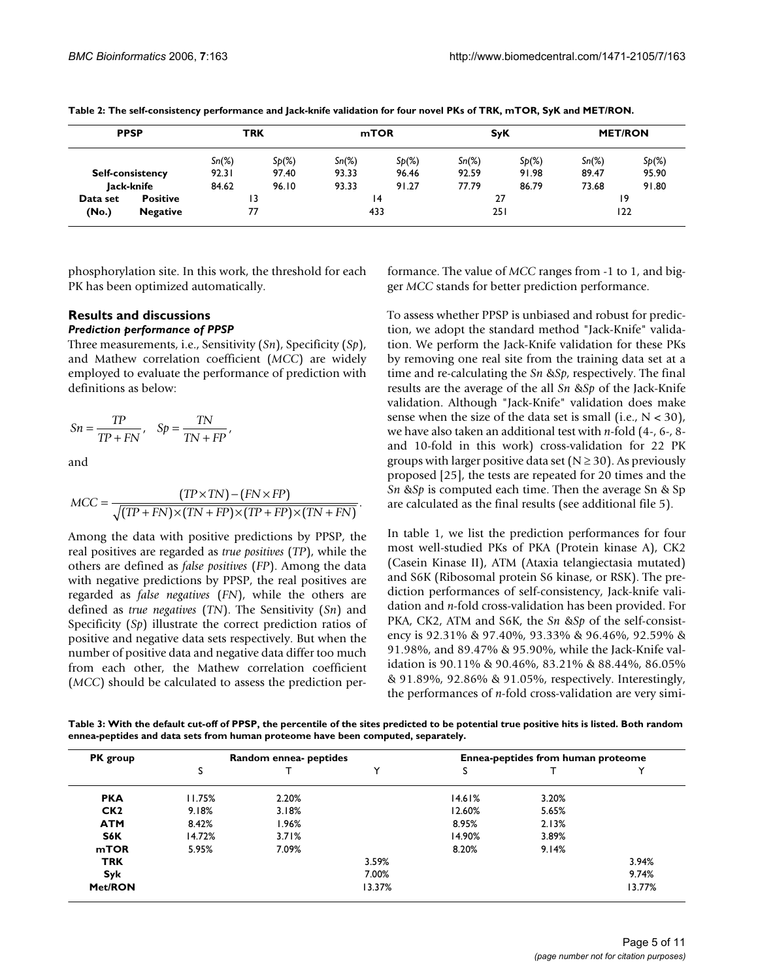| <b>PPSP</b> |                         | <b>TRK</b> |          | mTOR     |          | <b>SyK</b> |          | <b>MET/RON</b> |          |
|-------------|-------------------------|------------|----------|----------|----------|------------|----------|----------------|----------|
|             |                         | $Sn(\%)$   | $Sp(\%)$ | $Sn(\%)$ | $Sp(\%)$ | $Sn(\%)$   | $Sp(\%)$ | $Sn(\%)$       | $Sp(\%)$ |
|             | <b>Self-consistency</b> | 92.31      | 97.40    | 93.33    | 96.46    | 92.59      | 91.98    | 89.47          | 95.90    |
|             | Jack-knife              | 84.62      | 96.10    | 93.33    | 91.27    | 77.79      | 86.79    | 73.68          | 91.80    |
| Data set    | <b>Positive</b>         |            | 13       |          | 14       |            | 27       |                | 19       |
| (No.)       | <b>Negative</b>         |            | 77       |          | 433      | 251        |          |                | 122      |

**Table 2: The self-consistency performance and Jack-knife validation for four novel PKs of TRK, mTOR, SyK and MET/RON.**

phosphorylation site. In this work, the threshold for each PK has been optimized automatically.

#### **Results and discussions** *Prediction performance of PPSP*

Three measurements, i.e., Sensitivity (*Sn*), Specificity (*Sp*), and Mathew correlation coefficient (*MCC*) are widely employed to evaluate the performance of prediction with definitions as below:

$$
Sn = \frac{TP}{TP + FN}, \quad Sp = \frac{TN}{TN + FP},
$$

and

$$
MCC = \frac{(TP \times TN) - (FN \times FP)}{\sqrt{(TP + FN) \times (TN + FP) \times (TP + FP) \times (TN + FN)}}.
$$

Among the data with positive predictions by PPSP, the real positives are regarded as *true positives* (*TP*), while the others are defined as *false positives* (*FP*). Among the data with negative predictions by PPSP, the real positives are regarded as *false negatives* (*FN*), while the others are defined as *true negatives* (*TN*). The Sensitivity (*Sn*) and Specificity (*Sp*) illustrate the correct prediction ratios of positive and negative data sets respectively. But when the number of positive data and negative data differ too much from each other, the Mathew correlation coefficient (*MCC*) should be calculated to assess the prediction performance. The value of *MCC* ranges from -1 to 1, and bigger *MCC* stands for better prediction performance.

To assess whether PPSP is unbiased and robust for prediction, we adopt the standard method "Jack-Knife" validation. We perform the Jack-Knife validation for these PKs by removing one real site from the training data set at a time and re-calculating the *Sn* &*Sp*, respectively. The final results are the average of the all *Sn* &*Sp* of the Jack-Knife validation. Although "Jack-Knife" validation does make sense when the size of the data set is small (i.e.,  $N < 30$ ), we have also taken an additional test with *n*-fold (4-, 6-, 8 and 10-fold in this work) cross-validation for 22 PK groups with larger positive data set ( $N \geq 30$ ). As previously proposed [25], the tests are repeated for 20 times and the *Sn* &*Sp* is computed each time. Then the average Sn & Sp are calculated as the final results (see additional file 5).

In table 1, we list the prediction performances for four most well-studied PKs of PKA (Protein kinase A), CK2 (Casein Kinase II), ATM (Ataxia telangiectasia mutated) and S6K (Ribosomal protein S6 kinase, or RSK). The prediction performances of self-consistency, Jack-knife validation and *n*-fold cross-validation has been provided. For PKA, CK2, ATM and S6K, the *Sn* &*Sp* of the self-consistency is 92.31% & 97.40%, 93.33% & 96.46%, 92.59% & 91.98%, and 89.47% & 95.90%, while the Jack-Knife validation is 90.11% & 90.46%, 83.21% & 88.44%, 86.05% & 91.89%, 92.86% & 91.05%, respectively. Interestingly, the performances of *n*-fold cross-validation are very simi-

**Table 3: With the default cut-off of PPSP, the percentile of the sites predicted to be potential true positive hits is listed. Both random ennea-peptides and data sets from human proteome have been computed, separately.**

| PK group        |        | Random ennea- peptides |        | Ennea-peptides from human proteome |       |        |  |
|-----------------|--------|------------------------|--------|------------------------------------|-------|--------|--|
|                 | S      |                        | 丷      | s                                  |       |        |  |
| <b>PKA</b>      | 11.75% | 2.20%                  |        | 14.61%                             | 3.20% |        |  |
| CK <sub>2</sub> | 9.18%  | 3.18%                  |        | 12.60%                             | 5.65% |        |  |
| <b>ATM</b>      | 8.42%  | 1.96%                  |        | 8.95%                              | 2.13% |        |  |
| S6K             | 14.72% | 3.71%                  |        | 14.90%                             | 3.89% |        |  |
| <b>mTOR</b>     | 5.95%  | 7.09%                  |        | 8.20%                              | 9.14% |        |  |
| <b>TRK</b>      |        |                        | 3.59%  |                                    |       | 3.94%  |  |
| Syk             |        |                        | 7.00%  |                                    |       | 9.74%  |  |
| Met/RON         |        |                        | 13.37% |                                    |       | 13.77% |  |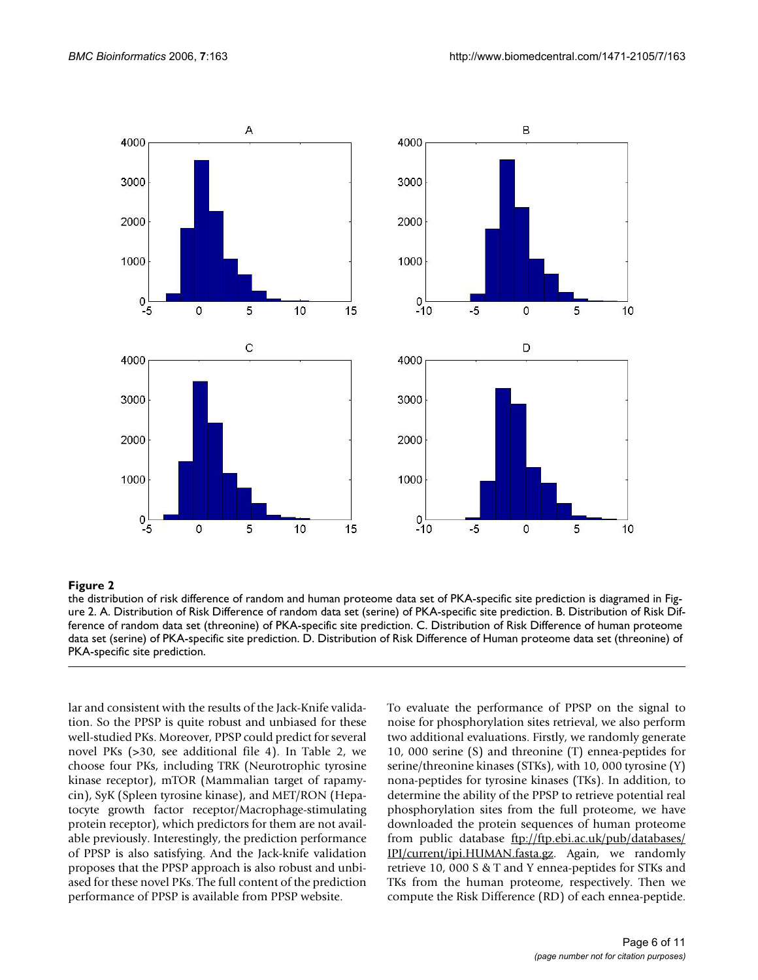

#### the distribution of risk difference of rand ure 2 **Figure 2** om and human proteome data set of PKA-specific site prediction is diagramed in Fig-

the distribution of risk difference of random and human proteome data set of PKA-specific site prediction is diagramed in Figure 2. A. Distribution of Risk Difference of random data set (serine) of PKA-specific site prediction. B. Distribution of Risk Difference of random data set (threonine) of PKA-specific site prediction. C. Distribution of Risk Difference of human proteome data set (serine) of PKA-specific site prediction. D. Distribution of Risk Difference of Human proteome data set (threonine) of PKA-specific site prediction.

lar and consistent with the results of the Jack-Knife validation. So the PPSP is quite robust and unbiased for these well-studied PKs. Moreover, PPSP could predict for several novel PKs (>30, see additional file 4). In Table 2, we choose four PKs, including TRK (Neurotrophic tyrosine kinase receptor), mTOR (Mammalian target of rapamycin), SyK (Spleen tyrosine kinase), and MET/RON (Hepatocyte growth factor receptor/Macrophage-stimulating protein receptor), which predictors for them are not available previously. Interestingly, the prediction performance of PPSP is also satisfying. And the Jack-knife validation proposes that the PPSP approach is also robust and unbiased for these novel PKs. The full content of the prediction performance of PPSP is available from PPSP website.

To evaluate the performance of PPSP on the signal to noise for phosphorylation sites retrieval, we also perform two additional evaluations. Firstly, we randomly generate 10, 000 serine (S) and threonine (T) ennea-peptides for serine/threonine kinases (STKs), with 10, 000 tyrosine (Y) nona-peptides for tyrosine kinases (TKs). In addition, to determine the ability of the PPSP to retrieve potential real phosphorylation sites from the full proteome, we have downloaded the protein sequences of human proteome from public database [ftp://ftp.ebi.ac.uk/pub/databases/](ftp://ftp.ebi.ac.uk/pub/databases/IPI/current/ipi.HUMAN.fasta.gz) [IPI/current/ipi.HUMAN.fasta.gz](ftp://ftp.ebi.ac.uk/pub/databases/IPI/current/ipi.HUMAN.fasta.gz). Again, we randomly retrieve 10, 000 S & T and Y ennea-peptides for STKs and TKs from the human proteome, respectively. Then we compute the Risk Difference (RD) of each ennea-peptide.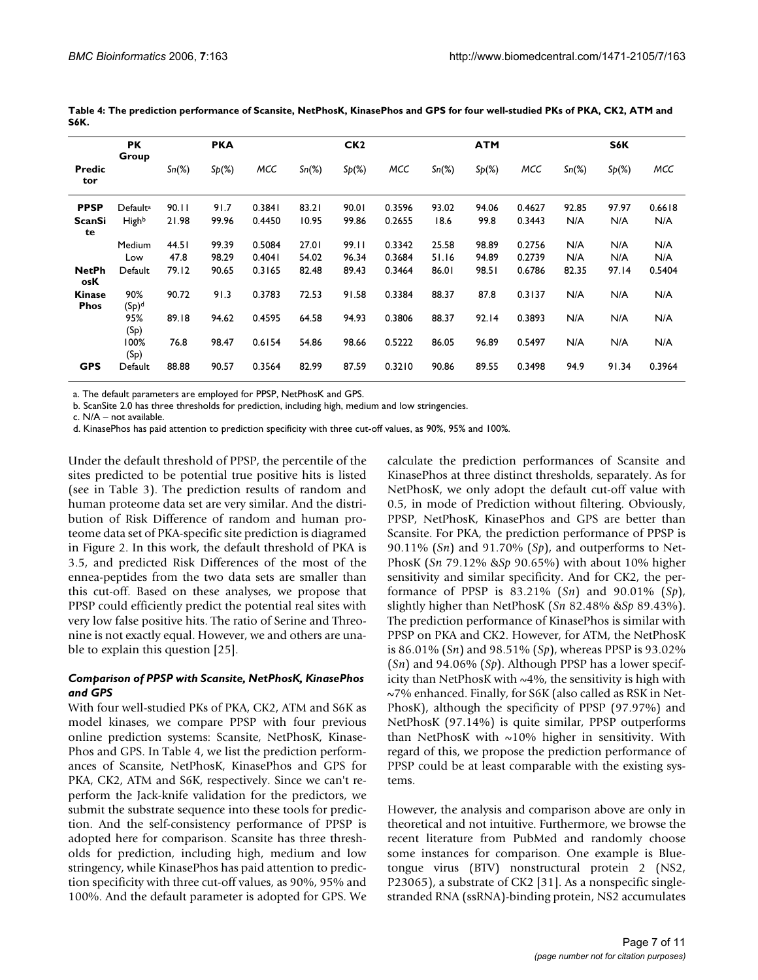|                              | <b>PK</b>            |          | <b>PKA</b> |        |          | CK <sub>2</sub> |        |          | <b>ATM</b> |        |          | S6K      |        |
|------------------------------|----------------------|----------|------------|--------|----------|-----------------|--------|----------|------------|--------|----------|----------|--------|
| Predic<br>tor                | Group                | $Sn(\%)$ | Sp(%)      | MCC    | $Sn(\%)$ | Sp(%)           | MCC    | $Sn(\%)$ | Sp(%)      | MCC    | $Sn(\%)$ | $Sp(\%)$ | MCC    |
| <b>PPSP</b>                  | Default <sup>a</sup> | 90.11    | 91.7       | 0.3841 | 83.21    | 90.01           | 0.3596 | 93.02    | 94.06      | 0.4627 | 92.85    | 97.97    | 0.6618 |
| ScanSi<br>te                 | Highb                | 21.98    | 99.96      | 0.4450 | 10.95    | 99.86           | 0.2655 | 18.6     | 99.8       | 0.3443 | N/A      | N/A      | N/A    |
|                              | Medium               | 44.5 l   | 99.39      | 0.5084 | 27.01    | 99.11           | 0.3342 | 25.58    | 98.89      | 0.2756 | N/A      | N/A      | N/A    |
|                              | Low                  | 47.8     | 98.29      | 0.4041 | 54.02    | 96.34           | 0.3684 | 51.16    | 94.89      | 0.2739 | N/A      | N/A      | N/A    |
| <b>NetPh</b><br>osK          | Default              | 79.12    | 90.65      | 0.3165 | 82.48    | 89.43           | 0.3464 | 86.01    | 98.51      | 0.6786 | 82.35    | 97.14    | 0.5404 |
| <b>Kinase</b><br><b>Phos</b> | 90%<br>$(Sp)^d$      | 90.72    | 91.3       | 0.3783 | 72.53    | 91.58           | 0.3384 | 88.37    | 87.8       | 0.3137 | N/A      | N/A      | N/A    |
|                              | 95%<br>(Sp)          | 89.18    | 94.62      | 0.4595 | 64.58    | 94.93           | 0.3806 | 88.37    | 92.14      | 0.3893 | N/A      | N/A      | N/A    |
|                              | 100%<br>(Sp)         | 76.8     | 98.47      | 0.6154 | 54.86    | 98.66           | 0.5222 | 86.05    | 96.89      | 0.5497 | N/A      | N/A      | N/A    |
| <b>GPS</b>                   | Default              | 88.88    | 90.57      | 0.3564 | 82.99    | 87.59           | 0.3210 | 90.86    | 89.55      | 0.3498 | 94.9     | 91.34    | 0.3964 |

**Table 4: The prediction performance of Scansite, NetPhosK, KinasePhos and GPS for four well-studied PKs of PKA, CK2, ATM and S6K.**

a. The default parameters are employed for PPSP, NetPhosK and GPS.

b. ScanSite 2.0 has three thresholds for prediction, including high, medium and low stringencies.

c. N/A – not available.

d. KinasePhos has paid attention to prediction specificity with three cut-off values, as 90%, 95% and 100%.

Under the default threshold of PPSP, the percentile of the sites predicted to be potential true positive hits is listed (see in Table 3). The prediction results of random and human proteome data set are very similar. And the distribution of Risk Difference of random and human proteome data set of PKA-specific site prediction is diagramed in Figure 2. In this work, the default threshold of PKA is 3.5, and predicted Risk Differences of the most of the ennea-peptides from the two data sets are smaller than this cut-off. Based on these analyses, we propose that PPSP could efficiently predict the potential real sites with very low false positive hits. The ratio of Serine and Threonine is not exactly equal. However, we and others are unable to explain this question [25].

#### *Comparison of PPSP with Scansite, NetPhosK, KinasePhos and GPS*

With four well-studied PKs of PKA, CK2, ATM and S6K as model kinases, we compare PPSP with four previous online prediction systems: Scansite, NetPhosK, Kinase-Phos and GPS. In Table 4, we list the prediction performances of Scansite, NetPhosK, KinasePhos and GPS for PKA, CK2, ATM and S6K, respectively. Since we can't reperform the Jack-knife validation for the predictors, we submit the substrate sequence into these tools for prediction. And the self-consistency performance of PPSP is adopted here for comparison. Scansite has three thresholds for prediction, including high, medium and low stringency, while KinasePhos has paid attention to prediction specificity with three cut-off values, as 90%, 95% and 100%. And the default parameter is adopted for GPS. We calculate the prediction performances of Scansite and KinasePhos at three distinct thresholds, separately. As for NetPhosK, we only adopt the default cut-off value with 0.5, in mode of Prediction without filtering. Obviously, PPSP, NetPhosK, KinasePhos and GPS are better than Scansite. For PKA, the prediction performance of PPSP is 90.11% (*Sn*) and 91.70% (*Sp*), and outperforms to Net-PhosK (*Sn* 79.12% &*Sp* 90.65%) with about 10% higher sensitivity and similar specificity. And for CK2, the performance of PPSP is 83.21% (*Sn*) and 90.01% (*Sp*), slightly higher than NetPhosK (*Sn* 82.48% &*Sp* 89.43%). The prediction performance of KinasePhos is similar with PPSP on PKA and CK2. However, for ATM, the NetPhosK is 86.01% (*Sn*) and 98.51% (*Sp*), whereas PPSP is 93.02% (*Sn*) and 94.06% (*Sp*). Although PPSP has a lower specificity than NetPhosK with  $\sim$ 4%, the sensitivity is high with ~7% enhanced. Finally, for S6K (also called as RSK in Net-PhosK), although the specificity of PPSP (97.97%) and NetPhosK (97.14%) is quite similar, PPSP outperforms than NetPhosK with  $~10\%$  higher in sensitivity. With regard of this, we propose the prediction performance of PPSP could be at least comparable with the existing systems.

However, the analysis and comparison above are only in theoretical and not intuitive. Furthermore, we browse the recent literature from PubMed and randomly choose some instances for comparison. One example is Bluetongue virus (BTV) nonstructural protein 2 (NS2, P23065), a substrate of CK2 [31]. As a nonspecific singlestranded RNA (ssRNA)-binding protein, NS2 accumulates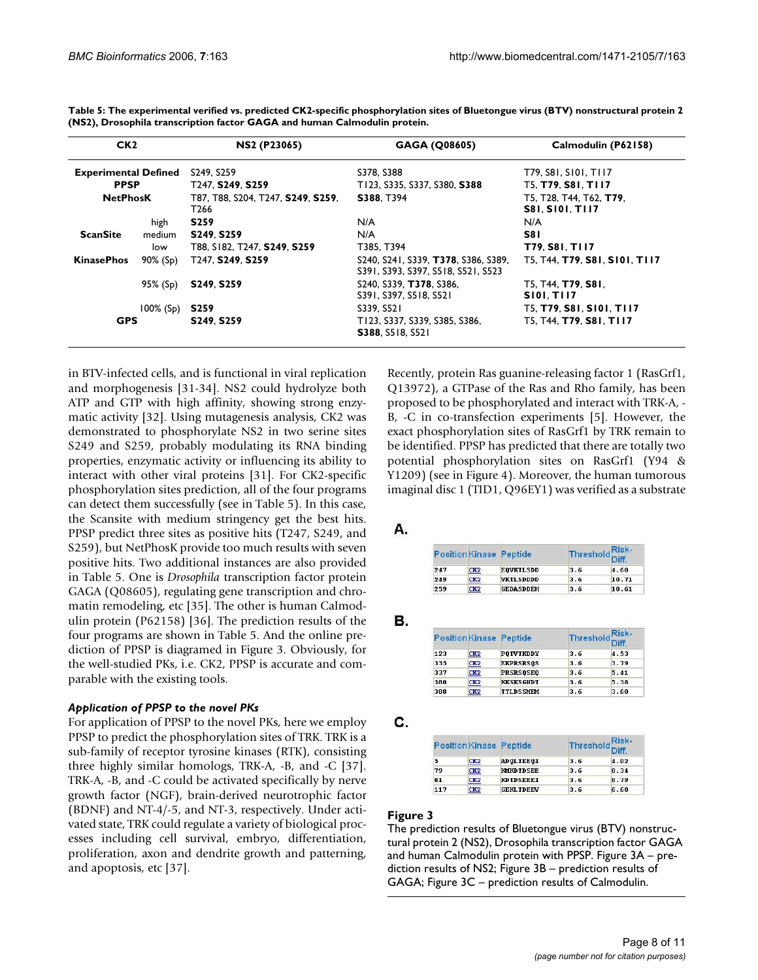| CK <sub>2</sub><br><b>Experimental Defined</b> |              | <b>NS2 (P23065)</b>                                    | GAGA (Q08605)                                                             | Calmodulin (P62158)                               |  |
|------------------------------------------------|--------------|--------------------------------------------------------|---------------------------------------------------------------------------|---------------------------------------------------|--|
|                                                |              | S249, S259                                             | S378, S388                                                                | T79, S81, S101, T117                              |  |
| <b>PPSP</b>                                    |              | T <sub>247</sub> , S <sub>249</sub> , S <sub>259</sub> | T123, S335, S337, S380, S388                                              | T5, T79, S81, T117                                |  |
| <b>NetPhosK</b>                                |              | T87, T88, S204, T247, S249, S259,<br>T <sub>266</sub>  | S388, T394                                                                | T5, T28, T44, T62, T79,<br><b>S81. S101. T117</b> |  |
|                                                | high         | <b>S259</b>                                            | N/A                                                                       | N/A                                               |  |
| <b>ScanSite</b>                                | medium       | S249, S259                                             | N/A                                                                       | S8 I                                              |  |
|                                                | low          | T88, S182, T247, S249, S259                            | T385, T394                                                                | T79, S81, T117                                    |  |
| <b>KinasePhos</b>                              | 90% (Sp)     | T247. S249. S259                                       | S240, S241, S339, T378, S386, S389,<br>S391, S393, S397, S518, S521, S523 | T5. T44. T79. S81. S101. T117                     |  |
|                                                | 95% (Sp)     | S <sub>249</sub> S <sub>259</sub>                      | S240, S339, T378, S386,<br>S391, S397, S518, S521                         | T5, T44, T79, S81,<br><b>SIOI, TII7</b>           |  |
|                                                | $100\%$ (Sp) | <b>S259</b>                                            | S339, S521                                                                | T5, T79, S81, S101, T117                          |  |
| <b>GPS</b>                                     |              | S249. S259                                             | T123, S337, S339, S385, S386,<br><b>S388, S518, S521</b>                  | T5, T44, T79, S81, T117                           |  |

**Table 5: The experimental verified vs. predicted CK2-specific phosphorylation sites of Bluetongue virus (BTV) nonstructural protein 2 (NS2), Drosophila transcription factor GAGA and human Calmodulin protein.**

in BTV-infected cells, and is functional in viral replication and morphogenesis [31-34]. NS2 could hydrolyze both ATP and GTP with high affinity, showing strong enzymatic activity [32]. Using mutagenesis analysis, CK2 was demonstrated to phosphorylate NS2 in two serine sites S249 and S259, probably modulating its RNA binding properties, enzymatic activity or influencing its ability to interact with other viral proteins [31]. For CK2-specific phosphorylation sites prediction, all of the four programs can detect them successfully (see in Table 5). In this case, the Scansite with medium stringency get the best hits. PPSP predict three sites as positive hits (T247, S249, and S259), but NetPhosK provide too much results with seven positive hits. Two additional instances are also provided in Table 5. One is *Drosophila* transcription factor protein GAGA (Q08605), regulating gene transcription and chromatin remodeling, etc [35]. The other is human Calmodulin protein (P62158) [36]. The prediction results of the four programs are shown in Table 5. And the online prediction of PPSP is diagramed in Figure 3. Obviously, for the well-studied PKs, i.e. CK2, PPSP is accurate and comparable with the existing tools.

#### *Application of PPSP to the novel PKs*

For application of PPSP to the novel PKs, here we employ PPSP to predict the phosphorylation sites of TRK. TRK is a sub-family of receptor tyrosine kinases (RTK), consisting three highly similar homologs, TRK-A, -B, and -C [37]. TRK-A, -B, and -C could be activated specifically by nerve growth factor (NGF), brain-derived neurotrophic factor (BDNF) and NT-4/-5, and NT-3, respectively. Under activated state, TRK could regulate a variety of biological processes including cell survival, embryo, differentiation, proliferation, axon and dendrite growth and patterning, and apoptosis, etc [37].

Recently, protein Ras guanine-releasing factor 1 (RasGrf1, Q13972), a GTPase of the Ras and Rho family, has been proposed to be phosphorylated and interact with TRK-A, - B, -C in co-transfection experiments [5]. However, the exact phosphorylation sites of RasGrf1 by TRK remain to be identified. PPSP has predicted that there are totally two potential phosphorylation sites on RasGrf1 (Y94 & Y1209) (see in Figure 4). Moreover, the human tumorous imaginal disc 1 (TID1, Q96EY1) was verified as a substrate

Α.

|     |                 | <b>PositionKinase Peptide</b> | Threshold Risk- |       |
|-----|-----------------|-------------------------------|-----------------|-------|
| 247 | CK2             | <b>EOVKTL SDD</b>             | 3.6             | 4.60  |
| 249 | CK2             | <b>VKTLSDDDD</b>              | 3.6             | 10.71 |
| 259 | CK <sub>2</sub> | <b>GEDASDDEH</b>              | 3.6             | 10.61 |

**B.** 

|     |     | <b>PositionKinase Peptide</b> | Threshold Risk- |      |
|-----|-----|-------------------------------|-----------------|------|
| 123 | CK2 | <b>POTVTKDDY</b>              | 3.6             | 4.53 |
| 335 | CK2 | <b>EKPRSRS0S</b>              | 3.6             | 3.79 |
| 337 | CK2 | <b>PRSRS0SE0</b>              | 3.6             | 5.41 |
| 380 | CK2 | <b>KKSKSGNDT</b>              | 3.6             | 5.38 |
| 388 | CK2 | <b>TTLDSSMEM</b>              | 3.6             | 3.60 |

C.

| <b>PositionKinase Peptide</b> |                 |                          | Risk-<br>Threshold <sup>NIST</sup> |
|-------------------------------|-----------------|--------------------------|------------------------------------|
| 5                             | CK2             | <b>ADOLTEEOI</b><br>3.6  | 4.02                               |
| 79                            | CK <sub>2</sub> | 3.6<br><b>KMKDTDSEE</b>  | 8.34                               |
| 81                            | CK <sub>2</sub> | 3.6<br><b>KDTDSEEEI</b>  | 8.79                               |
| 117                           | CK2             | 3.6<br><b>GEKL TDEEV</b> | 6.60                               |

#### Figure 3

The prediction results of Bluetongue virus (BTV) nonstructural protein 2 (NS2), Drosophila transcription factor GAGA and human Calmodulin protein with PPSP. Figure 3A – prediction results of NS2; Figure 3B – prediction results of GAGA; Figure 3C – prediction results of Calmodulin.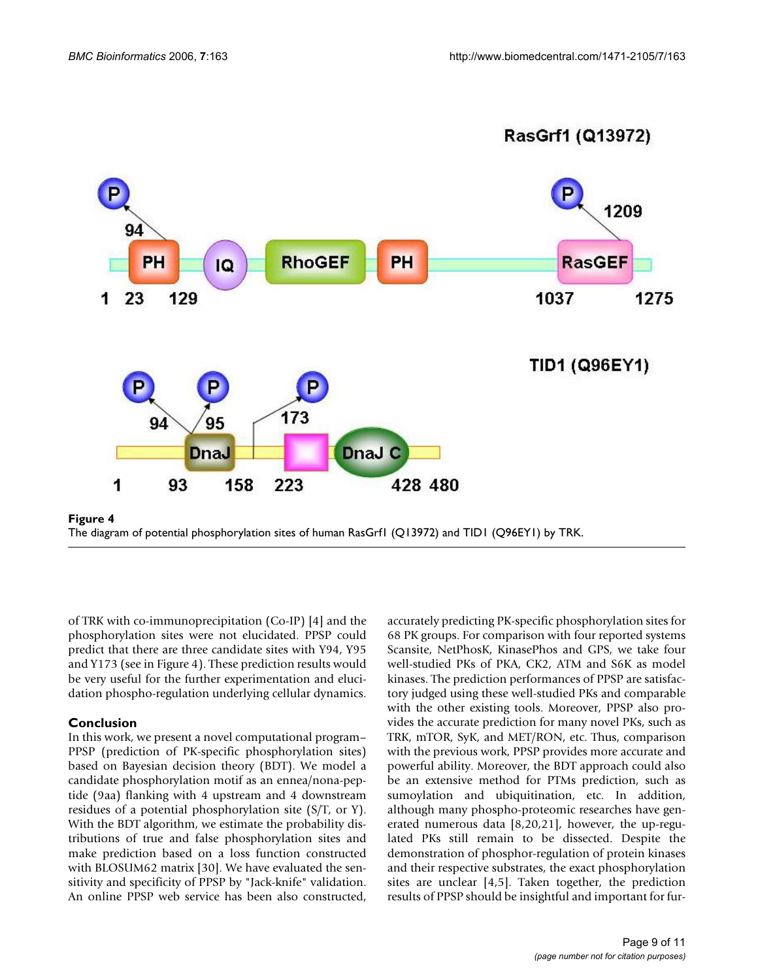

RasGrf1 (Q13972)

of TRK with co-immunoprecipitation (Co-IP) [4] and the phosphorylation sites were not elucidated. PPSP could predict that there are three candidate sites with Y94, Y95 and Y173 (see in Figure 4). These prediction results would be very useful for the further experimentation and elucidation phospho-regulation underlying cellular dynamics.

#### **Conclusion**

In this work, we present a novel computational program– PPSP (prediction of PK-specific phosphorylation sites) based on Bayesian decision theory (BDT). We model a candidate phosphorylation motif as an ennea/nona-peptide (9aa) flanking with 4 upstream and 4 downstream residues of a potential phosphorylation site (S/T, or Y). With the BDT algorithm, we estimate the probability distributions of true and false phosphorylation sites and make prediction based on a loss function constructed with BLOSUM62 matrix [30]. We have evaluated the sensitivity and specificity of PPSP by "Jack-knife" validation. An online PPSP web service has been also constructed,

accurately predicting PK-specific phosphorylation sites for 68 PK groups. For comparison with four reported systems Scansite, NetPhosK, KinasePhos and GPS, we take four well-studied PKs of PKA, CK2, ATM and S6K as model kinases. The prediction performances of PPSP are satisfactory judged using these well-studied PKs and comparable with the other existing tools. Moreover, PPSP also provides the accurate prediction for many novel PKs, such as TRK, mTOR, SyK, and MET/RON, etc. Thus, comparison with the previous work, PPSP provides more accurate and powerful ability. Moreover, the BDT approach could also be an extensive method for PTMs prediction, such as sumoylation and ubiquitination, etc. In addition, although many phospho-proteomic researches have generated numerous data [8,20,21], however, the up-regulated PKs still remain to be dissected. Despite the demonstration of phosphor-regulation of protein kinases and their respective substrates, the exact phosphorylation sites are unclear [4,5]. Taken together, the prediction results of PPSP should be insightful and important for fur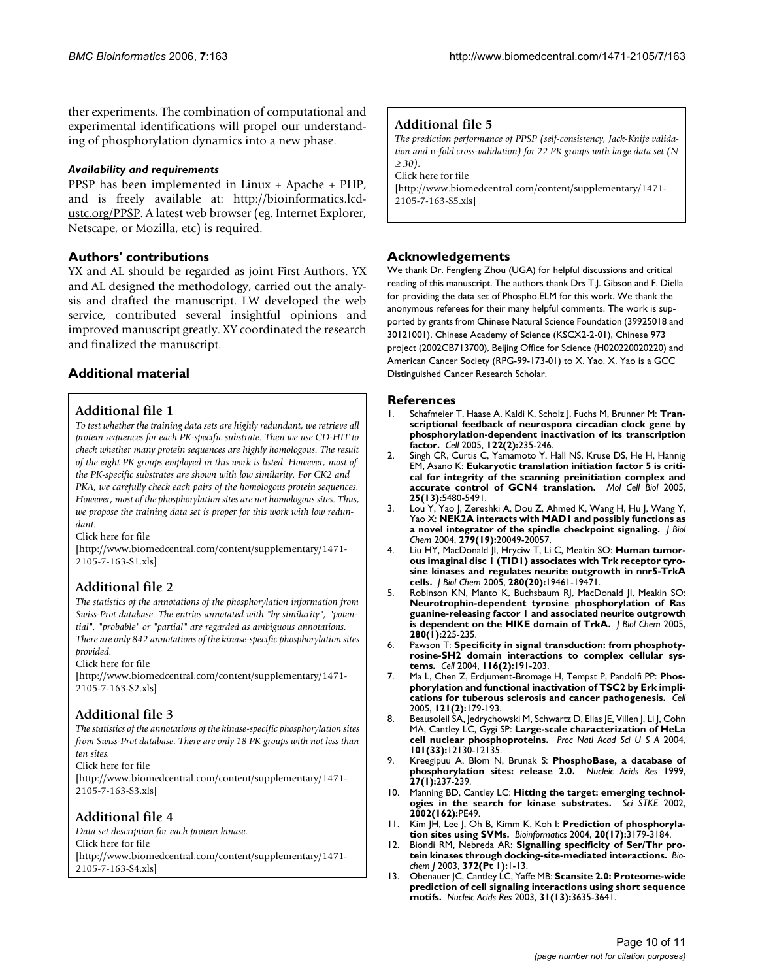ther experiments. The combination of computational and experimental identifications will propel our understanding of phosphorylation dynamics into a new phase.

#### *Availability and requirements*

PPSP has been implemented in Linux + Apache + PHP, and is freely available at: [http://bioinformatics.lcd](http://bioinformatics.lcd-ustc.org/PPSP)[ustc.org/PPSP](http://bioinformatics.lcd-ustc.org/PPSP). A latest web browser (eg. Internet Explorer, Netscape, or Mozilla, etc) is required.

## **Authors' contributions**

YX and AL should be regarded as joint First Authors. YX and AL designed the methodology, carried out the analysis and drafted the manuscript. LW developed the web service, contributed several insightful opinions and improved manuscript greatly. XY coordinated the research and finalized the manuscript.

## **Additional material**

## **Additional file 1**

*To test whether the training data sets are highly redundant, we retrieve all protein sequences for each PK-specific substrate. Then we use CD-HIT to check whether many protein sequences are highly homologous. The result of the eight PK groups employed in this work is listed. However, most of the PK-specific substrates are shown with low similarity. For CK2 and PKA, we carefully check each pairs of the homologous protein sequences. However, most of the phosphorylation sites are not homologous sites. Thus, we propose the training data set is proper for this work with low redundant.*

Click here for file

[\[http://www.biomedcentral.com/content/supplementary/1471-](http://www.biomedcentral.com/content/supplementary/1471-2105-7-163-S1.xls) 2105-7-163-S1.xls]

# **Additional file 2**

*The statistics of the annotations of the phosphorylation information from Swiss-Prot database. The entries annotated with "by similarity", "potential", "probable" or "partial" are regarded as ambiguous annotations. There are only 842 annotations of the kinase-specific phosphorylation sites provided.*

Click here for file

[\[http://www.biomedcentral.com/content/supplementary/1471-](http://www.biomedcentral.com/content/supplementary/1471-2105-7-163-S2.xls) 2105-7-163-S2.xls]

# **Additional file 3**

*The statistics of the annotations of the kinase-specific phosphorylation sites from Swiss-Prot database. There are only 18 PK groups with not less than ten sites.*

Click here for file

[\[http://www.biomedcentral.com/content/supplementary/1471-](http://www.biomedcentral.com/content/supplementary/1471-2105-7-163-S3.xls) 2105-7-163-S3.xls]

## **Additional file 4**

*Data set description for each protein kinase.* Click here for file [\[http://www.biomedcentral.com/content/supplementary/1471-](http://www.biomedcentral.com/content/supplementary/1471-2105-7-163-S4.xls) 2105-7-163-S4.xls]

## **Additional file 5**

*The prediction performance of PPSP (self-consistency, Jack-Knife validation and* n*-fold cross-validation) for 22 PK groups with large data set (N*  <sup>≥</sup> *30).*

Click here for file

[\[http://www.biomedcentral.com/content/supplementary/1471-](http://www.biomedcentral.com/content/supplementary/1471-2105-7-163-S5.xls) 2105-7-163-S5.xls]

## **Acknowledgements**

We thank Dr. Fengfeng Zhou (UGA) for helpful discussions and critical reading of this manuscript. The authors thank Drs T.J. Gibson and F. Diella for providing the data set of Phospho.ELM for this work. We thank the anonymous referees for their many helpful comments. The work is supported by grants from Chinese Natural Science Foundation (39925018 and 30121001), Chinese Academy of Science (KSCX2-2-01), Chinese 973 project (2002CB713700), Beijing Office for Science (H020220020220) and American Cancer Society (RPG-99-173-01) to X. Yao. X. Yao is a GCC Distinguished Cancer Research Scholar.

#### **References**

- Schafmeier T, Haase A, Kaldi K, Scholz J, Fuchs M, Brunner M: [Tran](http://www.ncbi.nlm.nih.gov/entrez/query.fcgi?cmd=Retrieve&db=PubMed&dopt=Abstract&list_uids=16051148)**scriptional feedback of neurospora circadian clock gene by [phosphorylation-dependent inactivation of its transcription](http://www.ncbi.nlm.nih.gov/entrez/query.fcgi?cmd=Retrieve&db=PubMed&dopt=Abstract&list_uids=16051148) [factor.](http://www.ncbi.nlm.nih.gov/entrez/query.fcgi?cmd=Retrieve&db=PubMed&dopt=Abstract&list_uids=16051148)** *Cell* 2005, **122(2):**235-246.
- 2. Singh CR, Curtis C, Yamamoto Y, Hall NS, Kruse DS, He H, Hannig EM, Asano K: **[Eukaryotic translation initiation factor 5 is criti](http://www.ncbi.nlm.nih.gov/entrez/query.fcgi?cmd=Retrieve&db=PubMed&dopt=Abstract&list_uids=15964804)[cal for integrity of the scanning preinitiation complex and](http://www.ncbi.nlm.nih.gov/entrez/query.fcgi?cmd=Retrieve&db=PubMed&dopt=Abstract&list_uids=15964804) [accurate control of GCN4 translation.](http://www.ncbi.nlm.nih.gov/entrez/query.fcgi?cmd=Retrieve&db=PubMed&dopt=Abstract&list_uids=15964804)** *Mol Cell Biol* 2005, **25(13):**5480-5491.
- 3. Lou Y, Yao J, Zereshki A, Dou Z, Ahmed K, Wang H, Hu J, Wang Y, Yao X: **[NEK2A interacts with MAD1 and possibly functions as](http://www.ncbi.nlm.nih.gov/entrez/query.fcgi?cmd=Retrieve&db=PubMed&dopt=Abstract&list_uids=14978040) [a novel integrator of the spindle checkpoint signaling.](http://www.ncbi.nlm.nih.gov/entrez/query.fcgi?cmd=Retrieve&db=PubMed&dopt=Abstract&list_uids=14978040)** *J Biol Chem* 2004, **279(19):**20049-20057.
- 4. Liu HY, MacDonald JI, Hryciw T, Li C, Meakin SO: **[Human tumor](http://www.ncbi.nlm.nih.gov/entrez/query.fcgi?cmd=Retrieve&db=PubMed&dopt=Abstract&list_uids=15753086)ous imaginal disc 1 (TID1) associates with Trk receptor tyro[sine kinases and regulates neurite outgrowth in nnr5-TrkA](http://www.ncbi.nlm.nih.gov/entrez/query.fcgi?cmd=Retrieve&db=PubMed&dopt=Abstract&list_uids=15753086) [cells.](http://www.ncbi.nlm.nih.gov/entrez/query.fcgi?cmd=Retrieve&db=PubMed&dopt=Abstract&list_uids=15753086)** *J Biol Chem* 2005, **280(20):**19461-19471.
- 5. Robinson KN, Manto K, Buchsbaum RJ, MacDonald JI, Meakin SO: **Neurotrophin-dependent tyrosine phosphorylation of Ras [guanine-releasing factor 1 and associated neurite outgrowth](http://www.ncbi.nlm.nih.gov/entrez/query.fcgi?cmd=Retrieve&db=PubMed&dopt=Abstract&list_uids=15513915) [is dependent on the HIKE domain of TrkA.](http://www.ncbi.nlm.nih.gov/entrez/query.fcgi?cmd=Retrieve&db=PubMed&dopt=Abstract&list_uids=15513915)** *J Biol Chem* 2005, **280(1):**225-235.
- 6. Pawson T: **[Specificity in signal transduction: from phosphoty](http://www.ncbi.nlm.nih.gov/entrez/query.fcgi?cmd=Retrieve&db=PubMed&dopt=Abstract&list_uids=14744431)[rosine-SH2 domain interactions to complex cellular sys](http://www.ncbi.nlm.nih.gov/entrez/query.fcgi?cmd=Retrieve&db=PubMed&dopt=Abstract&list_uids=14744431)[tems.](http://www.ncbi.nlm.nih.gov/entrez/query.fcgi?cmd=Retrieve&db=PubMed&dopt=Abstract&list_uids=14744431)** *Cell* 2004, **116(2):**191-203.
- 7. Ma L, Chen Z, Erdjument-Bromage H, Tempst P, Pandolfi PP: **[Phos](http://www.ncbi.nlm.nih.gov/entrez/query.fcgi?cmd=Retrieve&db=PubMed&dopt=Abstract&list_uids=15851026)[phorylation and functional inactivation of TSC2 by Erk impli](http://www.ncbi.nlm.nih.gov/entrez/query.fcgi?cmd=Retrieve&db=PubMed&dopt=Abstract&list_uids=15851026)[cations for tuberous sclerosis and cancer pathogenesis.](http://www.ncbi.nlm.nih.gov/entrez/query.fcgi?cmd=Retrieve&db=PubMed&dopt=Abstract&list_uids=15851026)** *Cell* 2005, **121(2):**179-193.
- 8. Beausoleil SA, Jedrychowski M, Schwartz D, Elias JE, Villen J, Li J, Cohn MA, Cantley LC, Gygi SP: **[Large-scale characterization of HeLa](http://www.ncbi.nlm.nih.gov/entrez/query.fcgi?cmd=Retrieve&db=PubMed&dopt=Abstract&list_uids=15302935) [cell nuclear phosphoproteins.](http://www.ncbi.nlm.nih.gov/entrez/query.fcgi?cmd=Retrieve&db=PubMed&dopt=Abstract&list_uids=15302935)** *Proc Natl Acad Sci U S A* 2004, **101(33):**12130-12135.
- 9. Kreegipuu A, Blom N, Brunak S: **[PhosphoBase, a database of](http://www.ncbi.nlm.nih.gov/entrez/query.fcgi?cmd=Retrieve&db=PubMed&dopt=Abstract&list_uids=9847189) [phosphorylation sites: release 2.0.](http://www.ncbi.nlm.nih.gov/entrez/query.fcgi?cmd=Retrieve&db=PubMed&dopt=Abstract&list_uids=9847189)** *Nucleic Acids Res* 1999, **27(1):**237-239.
- 10. Manning BD, Cantley LC: **[Hitting the target: emerging technol](http://www.ncbi.nlm.nih.gov/entrez/query.fcgi?cmd=Retrieve&db=PubMed&dopt=Abstract&list_uids=12475999)[ogies in the search for kinase substrates.](http://www.ncbi.nlm.nih.gov/entrez/query.fcgi?cmd=Retrieve&db=PubMed&dopt=Abstract&list_uids=12475999)** *Sci STKE* 2002, **2002(162):**PE49.
- 11. Kim JH, Lee J, Oh B, Kimm K, Koh I: **[Prediction of phosphoryla](http://www.ncbi.nlm.nih.gov/entrez/query.fcgi?cmd=Retrieve&db=PubMed&dopt=Abstract&list_uids=15231530)[tion sites using SVMs.](http://www.ncbi.nlm.nih.gov/entrez/query.fcgi?cmd=Retrieve&db=PubMed&dopt=Abstract&list_uids=15231530)** *Bioinformatics* 2004, **20(17):**3179-3184.
- 12. Biondi RM, Nebreda AR: **[Signalling specificity of Ser/Thr pro](http://www.ncbi.nlm.nih.gov/entrez/query.fcgi?cmd=Retrieve&db=PubMed&dopt=Abstract&list_uids=12600273)[tein kinases through docking-site-mediated interactions.](http://www.ncbi.nlm.nih.gov/entrez/query.fcgi?cmd=Retrieve&db=PubMed&dopt=Abstract&list_uids=12600273)** *Biochem J* 2003, **372(Pt 1):**1-13.
- 13. Obenauer JC, Cantley LC, Yaffe MB: **[Scansite 2.0: Proteome-wide](http://www.ncbi.nlm.nih.gov/entrez/query.fcgi?cmd=Retrieve&db=PubMed&dopt=Abstract&list_uids=12824383) [prediction of cell signaling interactions using short sequence](http://www.ncbi.nlm.nih.gov/entrez/query.fcgi?cmd=Retrieve&db=PubMed&dopt=Abstract&list_uids=12824383) [motifs.](http://www.ncbi.nlm.nih.gov/entrez/query.fcgi?cmd=Retrieve&db=PubMed&dopt=Abstract&list_uids=12824383)** *Nucleic Acids Res* 2003, **31(13):**3635-3641.